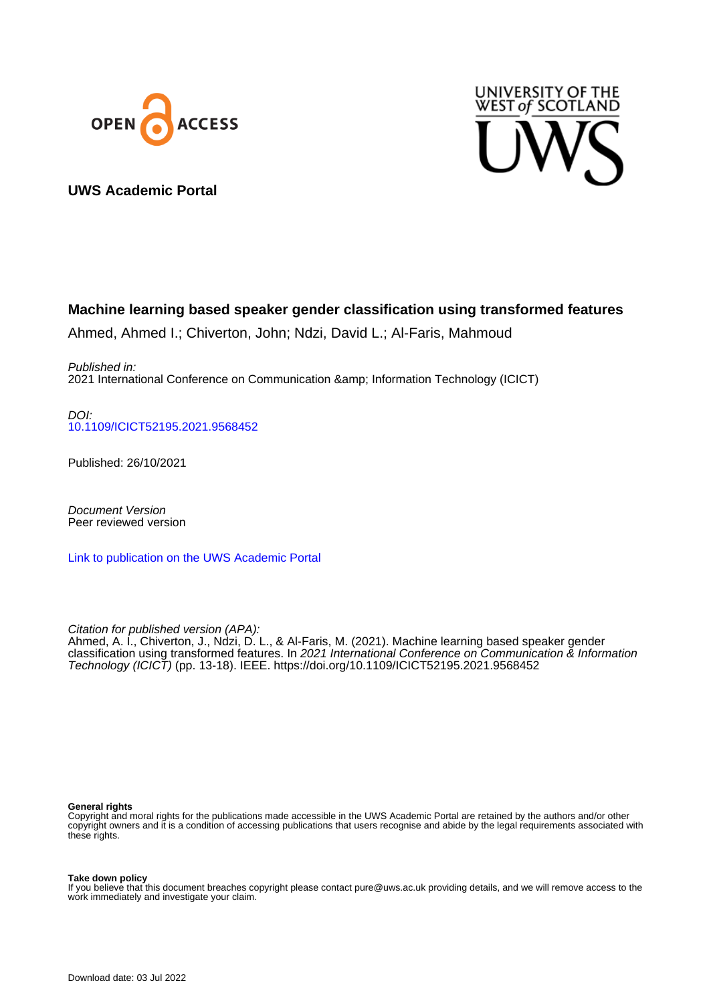



# **UWS Academic Portal**

# **Machine learning based speaker gender classification using transformed features**

Ahmed, Ahmed I.; Chiverton, John; Ndzi, David L.; Al-Faris, Mahmoud

Published in: 2021 International Conference on Communication & Information Technology (ICICT)

DOI: [10.1109/ICICT52195.2021.9568452](https://doi.org/10.1109/ICICT52195.2021.9568452)

Published: 26/10/2021

Document Version Peer reviewed version

[Link to publication on the UWS Academic Portal](https://uws.pure.elsevier.com/en/publications/7c063316-cc18-4440-a134-4a950669f499)

Citation for published version (APA): Ahmed, A. I., Chiverton, J., Ndzi, D. L., & Al-Faris, M. (2021). Machine learning based speaker gender classification using transformed features. In 2021 International Conference on Communication & Information Technology (ICICT) (pp. 13-18). IEEE. <https://doi.org/10.1109/ICICT52195.2021.9568452>

#### **General rights**

Copyright and moral rights for the publications made accessible in the UWS Academic Portal are retained by the authors and/or other copyright owners and it is a condition of accessing publications that users recognise and abide by the legal requirements associated with these rights.

#### **Take down policy**

If you believe that this document breaches copyright please contact pure@uws.ac.uk providing details, and we will remove access to the work immediately and investigate your claim.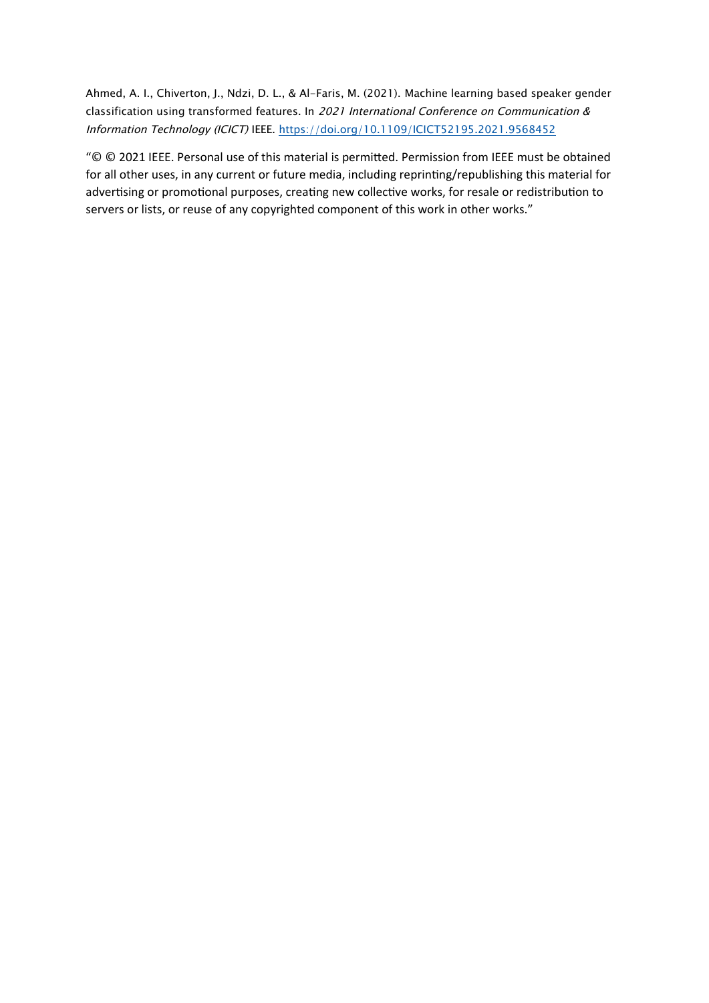Ahmed, A. I., Chiverton, J., Ndzi, D. L., & Al-Faris, M. (2021). Machine learning based speaker gender classification using transformed features. In 2021 International Conference on Communication & Information Technology (ICICT) IEEE. https://doi.org/10.1109/ICICT52195.2021.9568452

"© © 2021 IEEE. Personal use of this material is permitted. Permission from IEEE must be obtained for all other uses, in any current or future media, including reprinting/republishing this material for advertising or promotional purposes, creating new collective works, for resale or redistribution to servers or lists, or reuse of any copyrighted component of this work in other works."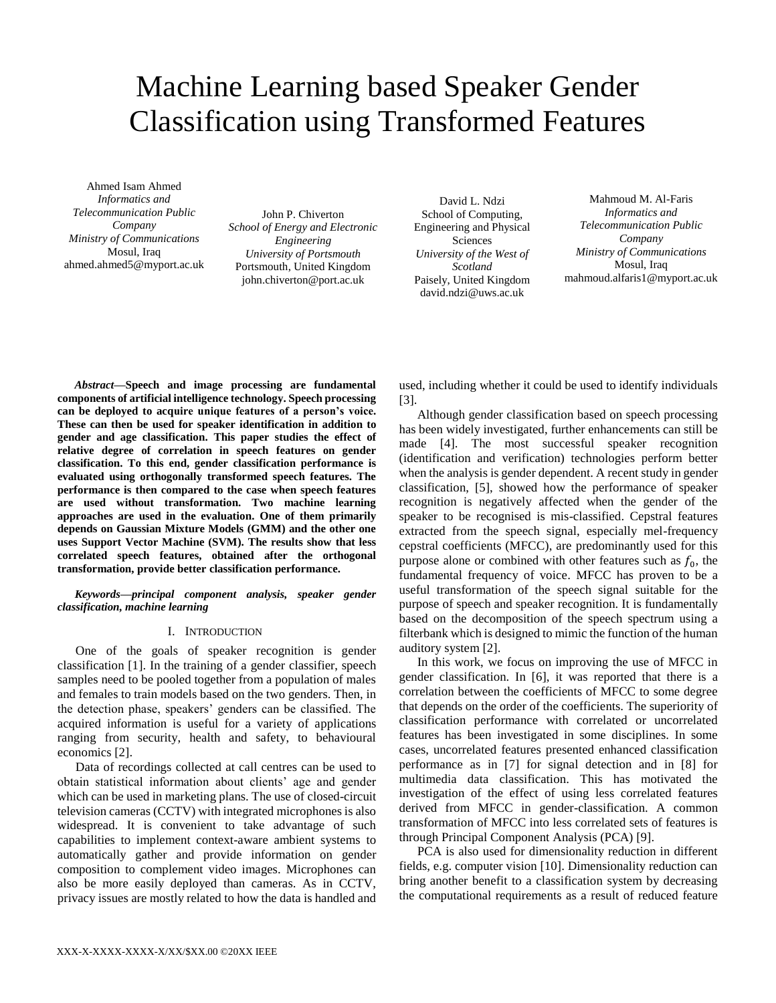# Machine Learning based Speaker Gender Classification using Transformed Features

Ahmed Isam Ahmed *Informatics and Telecommunication Public Company Ministry of Communications* Mosul, Iraq ahmed.ahmed5@myport.ac.uk

John P. Chiverton *School of Energy and Electronic Engineering University of Portsmouth* Portsmouth, United Kingdom john.chiverton@port.ac.uk

David L. Ndzi School of Computing, Engineering and Physical Sciences *University of the West of Scotland* Paisely, United Kingdom david.ndzi@uws.ac.uk

Mahmoud M. Al-Faris *Informatics and Telecommunication Public Company Ministry of Communications* Mosul, Iraq mahmoud.alfaris1@myport.ac.uk

*Abstract***—Speech and image processing are fundamental components of artificial intelligence technology. Speech processing can be deployed to acquire unique features of a person's voice. These can then be used for speaker identification in addition to gender and age classification. This paper studies the effect of relative degree of correlation in speech features on gender classification. To this end, gender classification performance is evaluated using orthogonally transformed speech features. The performance is then compared to the case when speech features are used without transformation. Two machine learning approaches are used in the evaluation. One of them primarily depends on Gaussian Mixture Models (GMM) and the other one uses Support Vector Machine (SVM). The results show that less correlated speech features, obtained after the orthogonal transformation, provide better classification performance.**

#### *Keywords—principal component analysis, speaker gender classification, machine learning*

# I. INTRODUCTION

One of the goals of speaker recognition is gender classification [1]. In the training of a gender classifier, speech samples need to be pooled together from a population of males and females to train models based on the two genders. Then, in the detection phase, speakers' genders can be classified. The acquired information is useful for a variety of applications ranging from security, health and safety, to behavioural economics [2].

Data of recordings collected at call centres can be used to obtain statistical information about clients' age and gender which can be used in marketing plans. The use of closed-circuit television cameras (CCTV) with integrated microphones is also widespread. It is convenient to take advantage of such capabilities to implement context-aware ambient systems to automatically gather and provide information on gender composition to complement video images. Microphones can also be more easily deployed than cameras. As in CCTV, privacy issues are mostly related to how the data is handled and used, including whether it could be used to identify individuals [3].

Although gender classification based on speech processing has been widely investigated, further enhancements can still be made [4]. The most successful speaker recognition (identification and verification) technologies perform better when the analysis is gender dependent. A recent study in gender classification, [5], showed how the performance of speaker recognition is negatively affected when the gender of the speaker to be recognised is mis-classified. Cepstral features extracted from the speech signal, especially mel-frequency cepstral coefficients (MFCC), are predominantly used for this purpose alone or combined with other features such as  $f_0$ , the fundamental frequency of voice. MFCC has proven to be a useful transformation of the speech signal suitable for the purpose of speech and speaker recognition. It is fundamentally based on the decomposition of the speech spectrum using a filterbank which is designed to mimic the function of the human auditory system [2].

In this work, we focus on improving the use of MFCC in gender classification. In [6], it was reported that there is a correlation between the coefficients of MFCC to some degree that depends on the order of the coefficients. The superiority of classification performance with correlated or uncorrelated features has been investigated in some disciplines. In some cases, uncorrelated features presented enhanced classification performance as in [7] for signal detection and in [8] for multimedia data classification. This has motivated the investigation of the effect of using less correlated features derived from MFCC in gender-classification. A common transformation of MFCC into less correlated sets of features is through Principal Component Analysis (PCA) [9].

PCA is also used for dimensionality reduction in different fields, e.g. computer vision [10]. Dimensionality reduction can bring another benefit to a classification system by decreasing the computational requirements as a result of reduced feature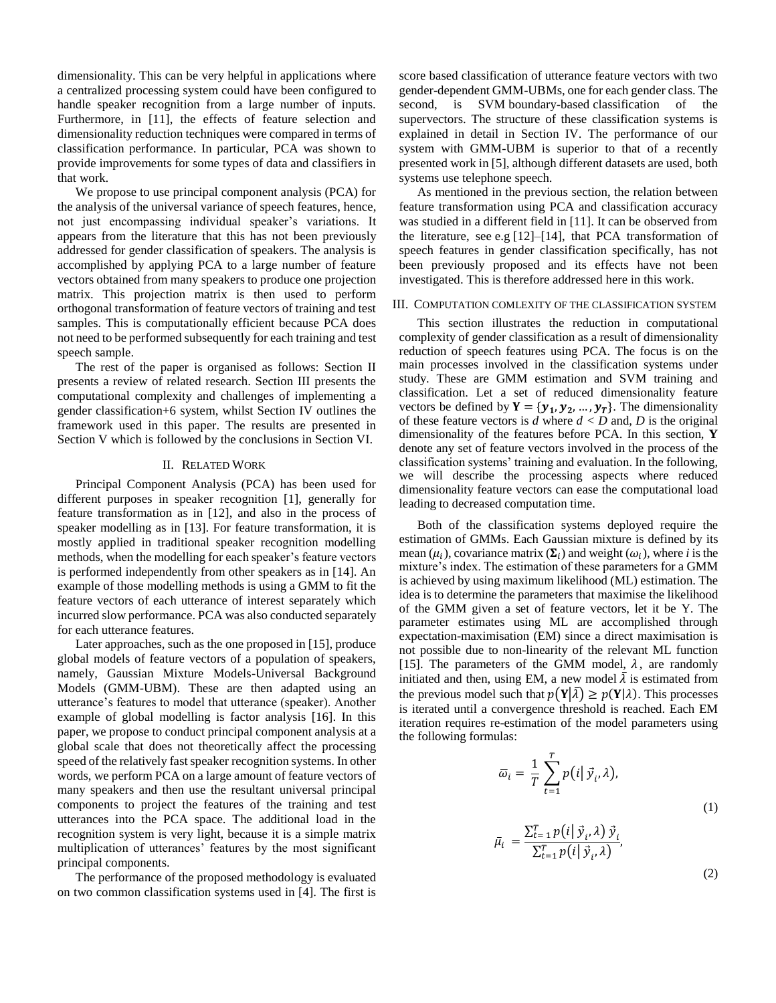dimensionality. This can be very helpful in applications where a centralized processing system could have been configured to handle speaker recognition from a large number of inputs. Furthermore, in [11], the effects of feature selection and dimensionality reduction techniques were compared in terms of classification performance. In particular, PCA was shown to provide improvements for some types of data and classifiers in that work.

We propose to use principal component analysis (PCA) for the analysis of the universal variance of speech features, hence, not just encompassing individual speaker's variations. It appears from the literature that this has not been previously addressed for gender classification of speakers. The analysis is accomplished by applying PCA to a large number of feature vectors obtained from many speakers to produce one projection matrix. This projection matrix is then used to perform orthogonal transformation of feature vectors of training and test samples. This is computationally efficient because PCA does not need to be performed subsequently for each training and test speech sample.

The rest of the paper is organised as follows: Section II presents a review of related research. Section III presents the computational complexity and challenges of implementing a gender classification+6 system, whilst Section IV outlines the framework used in this paper. The results are presented in Section V which is followed by the conclusions in Section VI.

## II. RELATED WORK

Principal Component Analysis (PCA) has been used for different purposes in speaker recognition [1], generally for feature transformation as in [12], and also in the process of speaker modelling as in [13]. For feature transformation, it is mostly applied in traditional speaker recognition modelling methods, when the modelling for each speaker's feature vectors is performed independently from other speakers as in [14]. An example of those modelling methods is using a GMM to fit the feature vectors of each utterance of interest separately which incurred slow performance. PCA was also conducted separately for each utterance features.

Later approaches, such as the one proposed in [15], produce global models of feature vectors of a population of speakers, namely, Gaussian Mixture Models-Universal Background Models (GMM-UBM). These are then adapted using an utterance's features to model that utterance (speaker). Another example of global modelling is factor analysis [16]. In this paper, we propose to conduct principal component analysis at a global scale that does not theoretically affect the processing speed of the relatively fast speaker recognition systems. In other words, we perform PCA on a large amount of feature vectors of many speakers and then use the resultant universal principal components to project the features of the training and test utterances into the PCA space. The additional load in the recognition system is very light, because it is a simple matrix multiplication of utterances' features by the most significant principal components.

The performance of the proposed methodology is evaluated on two common classification systems used in [4]. The first is score based classification of utterance feature vectors with two gender-dependent GMM-UBMs, one for each gender class. The second, is SVM boundary-based classification of the supervectors. The structure of these classification systems is explained in detail in Section IV. The performance of our system with GMM-UBM is superior to that of a recently presented work in [5], although different datasets are used, both systems use telephone speech.

As mentioned in the previous section, the relation between feature transformation using PCA and classification accuracy was studied in a different field in [11]. It can be observed from the literature, see e.g [12]–[14], that PCA transformation of speech features in gender classification specifically, has not been previously proposed and its effects have not been investigated. This is therefore addressed here in this work.

#### III. COMPUTATION COMLEXITY OF THE CLASSIFICATION SYSTEM

This section illustrates the reduction in computational complexity of gender classification as a result of dimensionality reduction of speech features using PCA. The focus is on the main processes involved in the classification systems under study. These are GMM estimation and SVM training and classification. Let a set of reduced dimensionality feature vectors be defined by  $Y = \{y_1, y_2, ..., y_T\}$ . The dimensionality of these feature vectors is *d* where *d < D* and, *D* is the original dimensionality of the features before PCA. In this section, **Y** denote any set of feature vectors involved in the process of the classification systems' training and evaluation. In the following, we will describe the processing aspects where reduced dimensionality feature vectors can ease the computational load leading to decreased computation time.

Both of the classification systems deployed require the estimation of GMMs. Each Gaussian mixture is defined by its mean  $(\mu_i)$ , covariance matrix  $(\Sigma_i)$  and weight  $(\omega_i)$ , where *i* is the mixture's index. The estimation of these parameters for a GMM is achieved by using maximum likelihood (ML) estimation. The idea is to determine the parameters that maximise the likelihood of the GMM given a set of feature vectors, let it be Y. The parameter estimates using ML are accomplished through expectation-maximisation (EM) since a direct maximisation is not possible due to non-linearity of the relevant ML function [15]. The parameters of the GMM model,  $\lambda$ , are randomly initiated and then, using EM, a new model  $\overline{\lambda}$  is estimated from the previous model such that  $p(Y|\overline{\lambda}) \geq p(Y|\lambda)$ . This processes is iterated until a convergence threshold is reached. Each EM iteration requires re-estimation of the model parameters using the following formulas:

$$
\overline{\omega}_{i} = \frac{1}{T} \sum_{t=1}^{T} p(i | \vec{y}_{i}, \lambda),
$$
  

$$
\overline{\mu}_{i} = \frac{\sum_{t=1}^{T} p(i | \vec{y}_{i}, \lambda) \vec{y}_{i}}{\sum_{t=1}^{T} p(i | \vec{y}_{i}, \lambda)},
$$
 (1)

(2)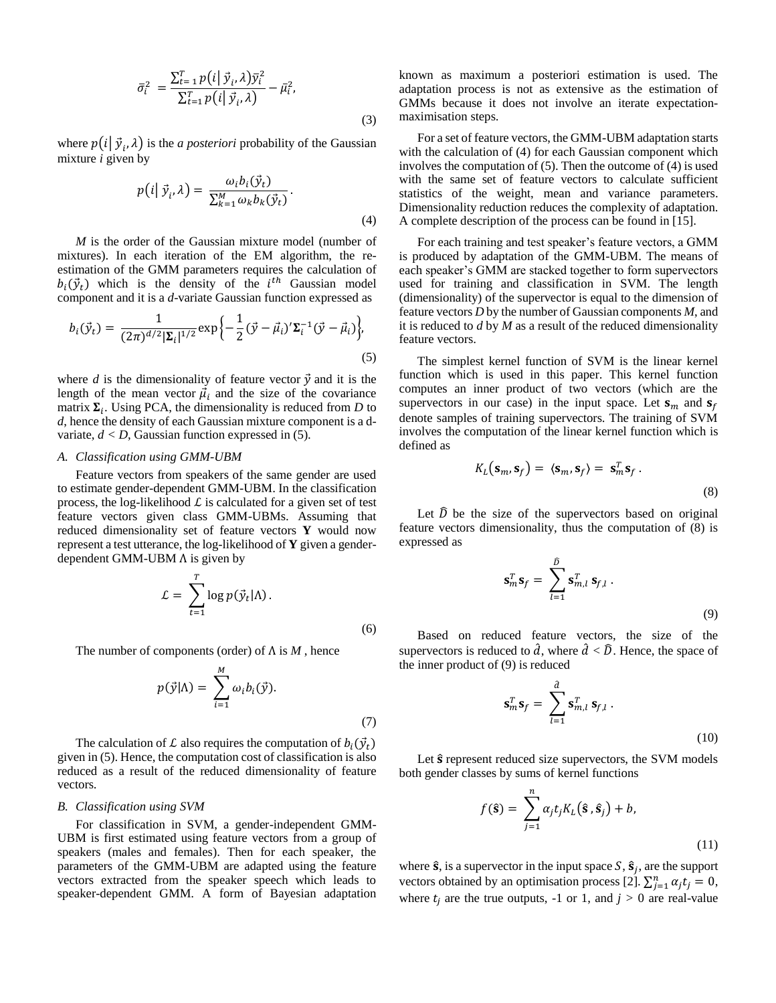$$
\bar{\sigma}_i^2 = \frac{\sum_{t=1}^T p(i | \vec{y}_i, \lambda) \bar{y}_i^2}{\sum_{t=1}^T p(i | \vec{y}_i, \lambda)} - \bar{\mu}_i^2,
$$
\n(3)

where  $p(i | \vec{y}_i, \lambda)$  is the *a posteriori* probability of the Gaussian mixture *i* given by

$$
p(i|\vec{y}_i, \lambda) = \frac{\omega_i b_i(\vec{y}_t)}{\sum_{k=1}^M \omega_k b_k(\vec{y}_t)}.
$$
\n(4)

*M* is the order of the Gaussian mixture model (number of mixtures). In each iteration of the EM algorithm, the reestimation of the GMM parameters requires the calculation of  $b_i(\vec{y}_t)$  which is the density of the  $i^{th}$  Gaussian model component and it is a *d*-variate Gaussian function expressed as

$$
b_i(\vec{y}_t) = \frac{1}{(2\pi)^{d/2} |\Sigma_i|^{1/2}} \exp\left\{-\frac{1}{2}(\vec{y} - \vec{\mu}_i)' \Sigma_i^{-1} (\vec{y} - \vec{\mu}_i)\right\},\tag{5}
$$

where *d* is the dimensionality of feature vector  $\vec{y}$  and it is the length of the mean vector  $\vec{\mu}_i$  and the size of the covariance matrix  $\Sigma_i$ . Using PCA, the dimensionality is reduced from *D* to *d*, hence the density of each Gaussian mixture component is a dvariate,  $d < D$ , Gaussian function expressed in (5).

## *A. Classification using GMM-UBM*

Feature vectors from speakers of the same gender are used to estimate gender-dependent GMM-UBM. In the classification process, the log-likelihood  $\mathcal L$  is calculated for a given set of test feature vectors given class GMM-UBMs. Assuming that reduced dimensionality set of feature vectors **Y** would now represent a test utterance, the log-likelihood of **Y** given a genderdependent GMM-UBM  $\Lambda$  is given by

$$
\mathcal{L} = \sum_{t=1}^{T} \log p(\vec{y}_t | \Lambda).
$$
\n(6)

The number of components (order) of Λ is *M* , hence

$$
p(\vec{y}|\Lambda) = \sum_{i=1}^{M} \omega_i b_i(\vec{y}).
$$
\n(7)

The calculation of L also requires the computation of  $b_i(\vec{y}_t)$ given in (5). Hence, the computation cost of classification is also reduced as a result of the reduced dimensionality of feature vectors.

#### *B. Classification using SVM*

For classification in SVM, a gender-independent GMM-UBM is first estimated using feature vectors from a group of speakers (males and females). Then for each speaker, the parameters of the GMM-UBM are adapted using the feature vectors extracted from the speaker speech which leads to speaker-dependent GMM. A form of Bayesian adaptation known as maximum a posteriori estimation is used. The adaptation process is not as extensive as the estimation of GMMs because it does not involve an iterate expectationmaximisation steps.

For a set of feature vectors, the GMM-UBM adaptation starts with the calculation of (4) for each Gaussian component which involves the computation of (5). Then the outcome of (4) is used with the same set of feature vectors to calculate sufficient statistics of the weight, mean and variance parameters. Dimensionality reduction reduces the complexity of adaptation. A complete description of the process can be found in [15].

For each training and test speaker's feature vectors, a GMM is produced by adaptation of the GMM-UBM. The means of each speaker's GMM are stacked together to form supervectors used for training and classification in SVM. The length (dimensionality) of the supervector is equal to the dimension of feature vectors *D* by the number of Gaussian components *M*, and it is reduced to *d* by *M* as a result of the reduced dimensionality feature vectors.

The simplest kernel function of SVM is the linear kernel function which is used in this paper. This kernel function computes an inner product of two vectors (which are the supervectors in our case) in the input space. Let  $s_m$  and  $s_f$ denote samples of training supervectors. The training of SVM involves the computation of the linear kernel function which is defined as

$$
K_L(\mathbf{s}_m, \mathbf{s}_f) = \langle \mathbf{s}_m, \mathbf{s}_f \rangle = \mathbf{s}_m^T \mathbf{s}_f.
$$
\n(8)

Let  $\hat{D}$  be the size of the supervectors based on original feature vectors dimensionality, thus the computation of (8) is expressed as

$$
\mathbf{s}_m^T \mathbf{s}_f = \sum_{l=1}^{\widehat{D}} \mathbf{s}_{m,l}^T \mathbf{s}_{f,l} \,. \tag{9}
$$

Based on reduced feature vectors, the size of the supervectors is reduced to  $\hat{d}$ , where  $\hat{d} < \hat{D}$ . Hence, the space of the inner product of (9) is reduced

$$
\mathbf{s}_m^T \mathbf{s}_f = \sum_{l=1}^d \mathbf{s}_{m,l}^T \mathbf{s}_{f,l} \,. \tag{10}
$$

Let  $\hat{\mathbf{s}}$  represent reduced size supervectors, the SVM models both gender classes by sums of kernel functions

$$
f(\hat{\mathbf{s}}) = \sum_{j=1}^{n} \alpha_j t_j K_L(\hat{\mathbf{s}}, \hat{\mathbf{s}}_j) + b,
$$
\n(11)

where  $\hat{\mathbf{s}}$ , is a supervector in the input space  $S$ ,  $\hat{\mathbf{s}}_j$ , are the support vectors obtained by an optimisation process [2].  $\sum_{j=1}^{n} \alpha_j t_j = 0$ , where  $t_i$  are the true outputs, -1 or 1, and  $j > 0$  are real-value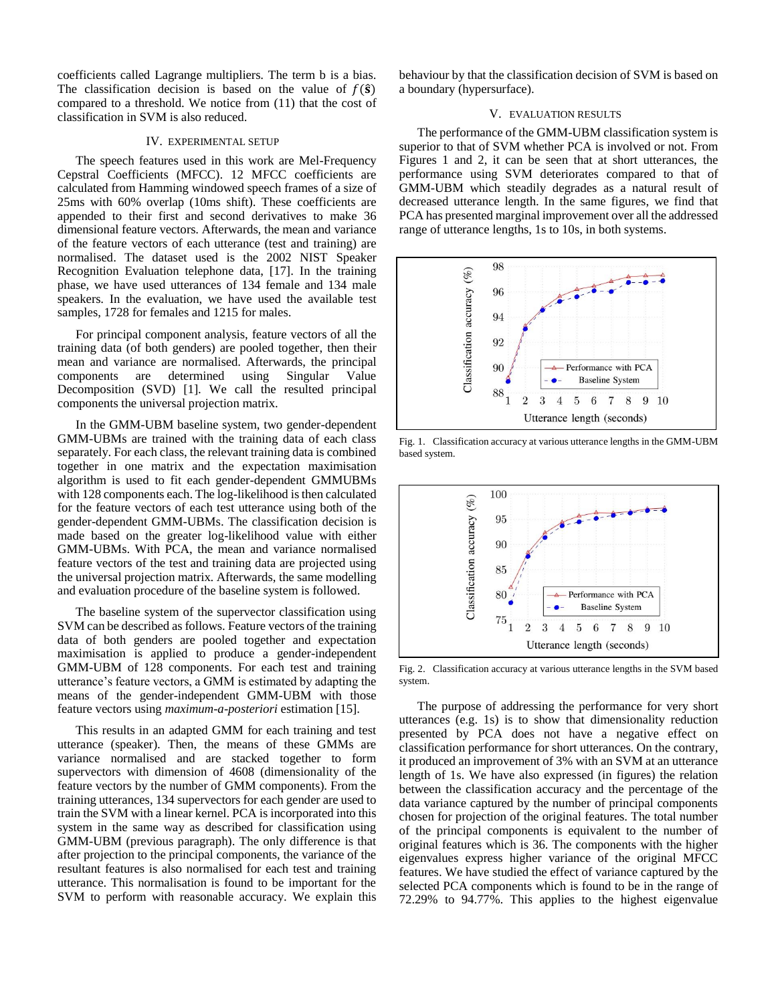coefficients called Lagrange multipliers. The term b is a bias. The classification decision is based on the value of  $f(\hat{s})$ compared to a threshold. We notice from (11) that the cost of classification in SVM is also reduced.

#### IV. EXPERIMENTAL SETUP

The speech features used in this work are Mel-Frequency Cepstral Coefficients (MFCC). 12 MFCC coefficients are calculated from Hamming windowed speech frames of a size of 25ms with 60% overlap (10ms shift). These coefficients are appended to their first and second derivatives to make 36 dimensional feature vectors. Afterwards, the mean and variance of the feature vectors of each utterance (test and training) are normalised. The dataset used is the 2002 NIST Speaker Recognition Evaluation telephone data, [17]. In the training phase, we have used utterances of 134 female and 134 male speakers. In the evaluation, we have used the available test samples, 1728 for females and 1215 for males.

For principal component analysis, feature vectors of all the training data (of both genders) are pooled together, then their mean and variance are normalised. Afterwards, the principal components are determined using Singular Value Decomposition (SVD) [1]. We call the resulted principal components the universal projection matrix.

In the GMM-UBM baseline system, two gender-dependent GMM-UBMs are trained with the training data of each class separately. For each class, the relevant training data is combined together in one matrix and the expectation maximisation algorithm is used to fit each gender-dependent GMMUBMs with 128 components each. The log-likelihood is then calculated for the feature vectors of each test utterance using both of the gender-dependent GMM-UBMs. The classification decision is made based on the greater log-likelihood value with either GMM-UBMs. With PCA, the mean and variance normalised feature vectors of the test and training data are projected using the universal projection matrix. Afterwards, the same modelling and evaluation procedure of the baseline system is followed.

The baseline system of the supervector classification using SVM can be described as follows. Feature vectors of the training data of both genders are pooled together and expectation maximisation is applied to produce a gender-independent GMM-UBM of 128 components. For each test and training utterance's feature vectors, a GMM is estimated by adapting the means of the gender-independent GMM-UBM with those feature vectors using *maximum-a-posteriori* estimation [15].

This results in an adapted GMM for each training and test utterance (speaker). Then, the means of these GMMs are variance normalised and are stacked together to form supervectors with dimension of 4608 (dimensionality of the feature vectors by the number of GMM components). From the training utterances, 134 supervectors for each gender are used to train the SVM with a linear kernel. PCA is incorporated into this system in the same way as described for classification using GMM-UBM (previous paragraph). The only difference is that after projection to the principal components, the variance of the resultant features is also normalised for each test and training utterance. This normalisation is found to be important for the SVM to perform with reasonable accuracy. We explain this

behaviour by that the classification decision of SVM is based on a boundary (hypersurface).

## V. EVALUATION RESULTS

The performance of the GMM-UBM classification system is superior to that of SVM whether PCA is involved or not. From Figures 1 and 2, it can be seen that at short utterances, the performance using SVM deteriorates compared to that of GMM-UBM which steadily degrades as a natural result of decreased utterance length. In the same figures, we find that PCA has presented marginal improvement over all the addressed range of utterance lengths, 1s to 10s, in both systems.



Fig. 1. Classification accuracy at various utterance lengths in the GMM-UBM based system.



Fig. 2. Classification accuracy at various utterance lengths in the SVM based system.

The purpose of addressing the performance for very short utterances (e.g. 1s) is to show that dimensionality reduction presented by PCA does not have a negative effect on classification performance for short utterances. On the contrary, it produced an improvement of 3% with an SVM at an utterance length of 1s. We have also expressed (in figures) the relation between the classification accuracy and the percentage of the data variance captured by the number of principal components chosen for projection of the original features. The total number of the principal components is equivalent to the number of original features which is 36. The components with the higher eigenvalues express higher variance of the original MFCC features. We have studied the effect of variance captured by the selected PCA components which is found to be in the range of 72.29% to 94.77%. This applies to the highest eigenvalue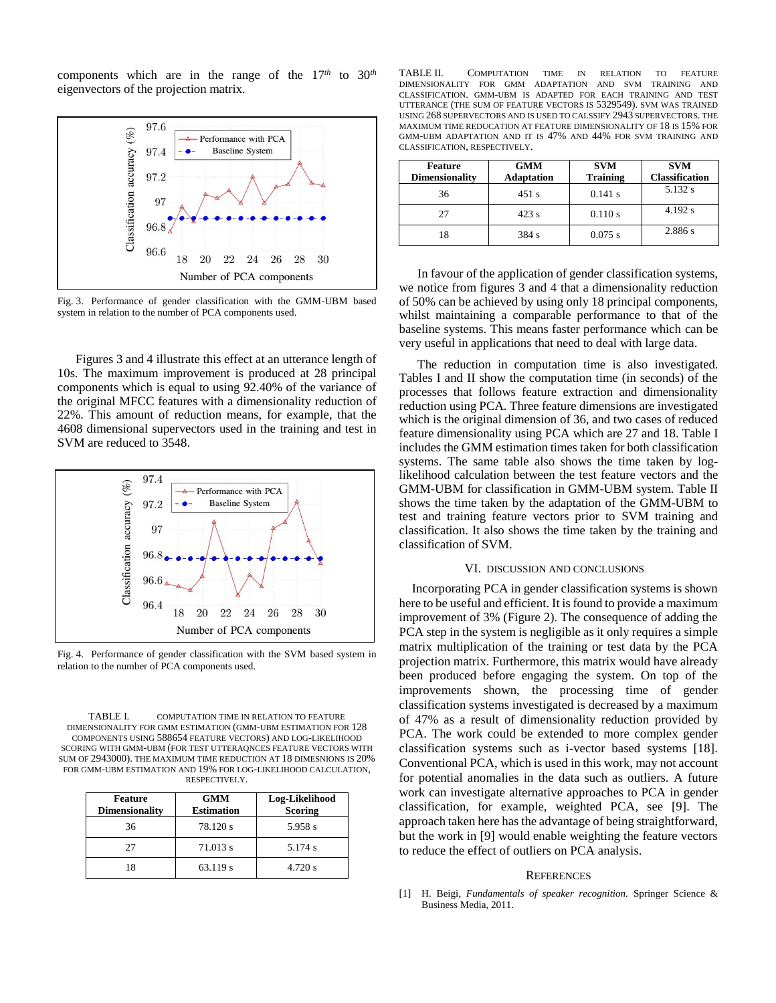components which are in the range of the 17*th* to 30*th* eigenvectors of the projection matrix.



Fig. 3. Performance of gender classification with the GMM-UBM based system in relation to the number of PCA components used.

Figures 3 and 4 illustrate this effect at an utterance length of 10s. The maximum improvement is produced at 28 principal components which is equal to using 92.40% of the variance of the original MFCC features with a dimensionality reduction of 22%. This amount of reduction means, for example, that the 4608 dimensional supervectors used in the training and test in SVM are reduced to 3548.



Fig. 4. Performance of gender classification with the SVM based system in relation to the number of PCA components used.

TABLE I. COMPUTATION TIME IN RELATION TO FEATURE DIMENSIONALITY FOR GMM ESTIMATION (GMM-UBM ESTIMATION FOR 128 COMPONENTS USING 588654 FEATURE VECTORS) AND LOG-LIKELIHOOD SCORING WITH GMM-UBM (FOR TEST UTTERAQNCES FEATURE VECTORS WITH SUM OF 2943000). THE MAXIMUM TIME REDUCTION AT 18 DIMESNIONS IS 20% FOR GMM-UBM ESTIMATION AND 19% FOR LOG-LIKELIHOOD CALCULATION, RESPECTIVELY.

| <b>Feature</b><br><b>Dimensionality</b> | <b>GMM</b><br><b>Estimation</b> | Log-Likelihood<br><b>Scoring</b> |
|-----------------------------------------|---------------------------------|----------------------------------|
| 36                                      | 78.120 s                        | 5.958 s                          |
| 27                                      | 71.013 s                        | 5.174 s                          |
| 18                                      | 63.119 s                        | 4.720 s                          |

TABLE II. COMPUTATION TIME IN RELATION TO FEATURE DIMENSIONALITY FOR GMM ADAPTATION AND SVM TRAINING AND CLASSIFICATION. GMM-UBM IS ADAPTED FOR EACH TRAINING AND TEST UTTERANCE (THE SUM OF FEATURE VECTORS IS 5329549). SVM WAS TRAINED USING 268 SUPERVECTORS AND IS USED TO CALSSIFY 2943 SUPERVECTORS. THE MAXIMUM TIME REDUCATION AT FEATURE DIMENSIONALITY OF 18 IS 15% FOR GMM-UBM ADAPTATION AND IT IS 47% AND 44% FOR SVM TRAINING AND CLASSIFICATION, RESPECTIVELY.

| Feature<br><b>Dimensionality</b> | <b>GMM</b><br><b>Adaptation</b> | <b>SVM</b><br><b>Training</b> | <b>SVM</b><br><b>Classification</b> |
|----------------------------------|---------------------------------|-------------------------------|-------------------------------------|
| 36                               | 451 s                           | 0.141 s                       | 5.132 s                             |
| 27                               | 423 s                           | 0.110 s                       | 4.192 s                             |
| 18                               | 384 s                           | $0.075$ s                     | 2.886 s                             |

In favour of the application of gender classification systems, we notice from figures 3 and 4 that a dimensionality reduction of 50% can be achieved by using only 18 principal components, whilst maintaining a comparable performance to that of the baseline systems. This means faster performance which can be very useful in applications that need to deal with large data.

The reduction in computation time is also investigated. Tables I and II show the computation time (in seconds) of the processes that follows feature extraction and dimensionality reduction using PCA. Three feature dimensions are investigated which is the original dimension of 36, and two cases of reduced feature dimensionality using PCA which are 27 and 18. Table I includes the GMM estimation times taken for both classification systems. The same table also shows the time taken by loglikelihood calculation between the test feature vectors and the GMM-UBM for classification in GMM-UBM system. Table II shows the time taken by the adaptation of the GMM-UBM to test and training feature vectors prior to SVM training and classification. It also shows the time taken by the training and classification of SVM.

#### VI. DISCUSSION AND CONCLUSIONS

 Incorporating PCA in gender classification systems is shown here to be useful and efficient. It is found to provide a maximum improvement of 3% (Figure 2). The consequence of adding the PCA step in the system is negligible as it only requires a simple matrix multiplication of the training or test data by the PCA projection matrix. Furthermore, this matrix would have already been produced before engaging the system. On top of the improvements shown, the processing time of gender classification systems investigated is decreased by a maximum of 47% as a result of dimensionality reduction provided by PCA. The work could be extended to more complex gender classification systems such as i-vector based systems [18]. Conventional PCA, which is used in this work, may not account for potential anomalies in the data such as outliers. A future work can investigate alternative approaches to PCA in gender classification, for example, weighted PCA, see [9]. The approach taken here has the advantage of being straightforward, but the work in [9] would enable weighting the feature vectors to reduce the effect of outliers on PCA analysis.

#### **REFERENCES**

[1] H. Beigi, *Fundamentals of speaker recognition.* Springer Science & Business Media, 2011.